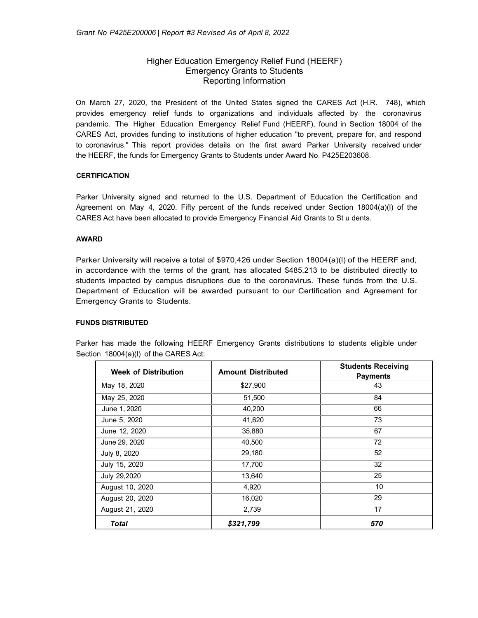# Higher Education Emergency Relief Fund (HEERF) Emergency Grants to Students Reporting Information

On March 27, 2020, the President of the United States signed the CARES Act (H.R. 748), which provides emergency relief funds to organizations and individuals affected by the coronavirus pandemic. The Higher Education Emergency Relief Fund (HEERF), found in Section 18004 of the CARES Act, provides funding to institutions of higher education "to prevent, prepare for, and respond to coronavirus." This report provides details on the first award Parker University received under the HEERF, the funds for Emergency Grants to Students under Award No. P425E203608.

## **CERTIFICATION**

Parker University signed and returned to the U.S. Department of Education the Certification and Agreement on May 4, 2020. Fifty percent of the funds received under Section 18004(a)(l) of the CARES Act have been allocated to provide Emergency Financial Aid Grants to St u dents.

## **AWARD**

Parker University will receive a total of \$970,426 under Section 18004(a)(l) of the HEERF and, in accordance with the terms of the grant, has allocated \$485,213 to be distributed directly to students impacted by campus disruptions due to the coronavirus. These funds from the U.S. Department of Education will be awarded pursuant to our Certification and Agreement for Emergency Grants to Students.

## **FUNDS DISTRIBUTED**

| <b>Week of Distribution</b> | <b>Amount Distributed</b> | <b>Students Receiving</b><br><b>Payments</b> |
|-----------------------------|---------------------------|----------------------------------------------|
| May 18, 2020                | \$27,900                  | 43                                           |
| May 25, 2020                | 51,500                    | 84                                           |
| June 1, 2020                | 40,200                    | 66                                           |
| June 5, 2020                | 41,620                    | 73                                           |
| June 12, 2020               | 35,880                    | 67                                           |
| June 29, 2020               | 40,500                    | 72                                           |
| July 8, 2020                | 29,180                    | 52                                           |
| July 15, 2020               | 17,700                    | 32                                           |
| July 29,2020                | 13,640                    | 25                                           |
| August 10, 2020             | 4,920                     | 10                                           |
| August 20, 2020             | 16,020                    | 29                                           |
| August 21, 2020             | 2,739                     | 17                                           |
| <b>Total</b>                | \$321,799                 | 570                                          |

Parker has made the following HEERF Emergency Grants distributions to students eligible under Section 18004(a)(I) of the CARES Act: